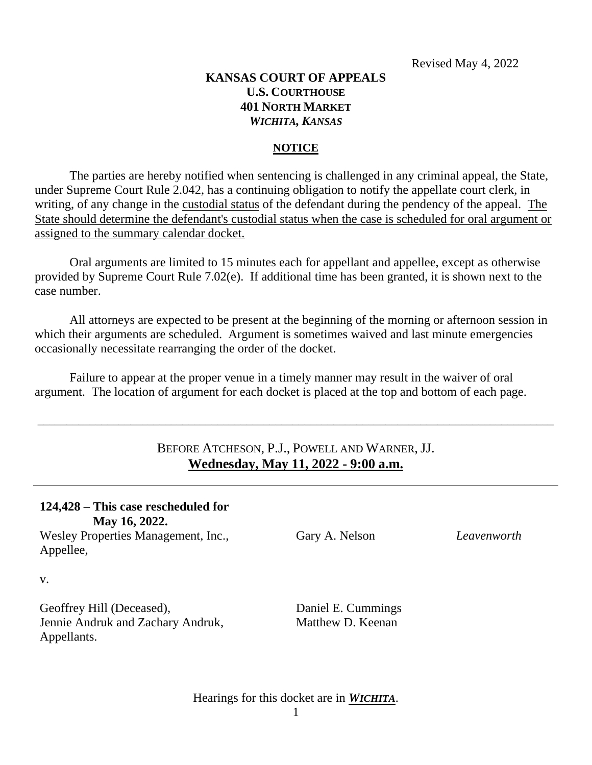### **KANSAS COURT OF APPEALS U.S. COURTHOUSE 401 NORTH MARKET** *WICHITA, KANSAS*

### **NOTICE**

The parties are hereby notified when sentencing is challenged in any criminal appeal, the State, under Supreme Court Rule 2.042, has a continuing obligation to notify the appellate court clerk, in writing, of any change in the custodial status of the defendant during the pendency of the appeal. The State should determine the defendant's custodial status when the case is scheduled for oral argument or assigned to the summary calendar docket.

Oral arguments are limited to 15 minutes each for appellant and appellee, except as otherwise provided by Supreme Court Rule 7.02(e). If additional time has been granted, it is shown next to the case number.

All attorneys are expected to be present at the beginning of the morning or afternoon session in which their arguments are scheduled. Argument is sometimes waived and last minute emergencies occasionally necessitate rearranging the order of the docket.

Failure to appear at the proper venue in a timely manner may result in the waiver of oral argument. The location of argument for each docket is placed at the top and bottom of each page.

## BEFORE ATCHESON, P.J., POWELL AND WARNER, JJ. **Wednesday, May 11, 2022 - 9:00 a.m.**

\_\_\_\_\_\_\_\_\_\_\_\_\_\_\_\_\_\_\_\_\_\_\_\_\_\_\_\_\_\_\_\_\_\_\_\_\_\_\_\_\_\_\_\_\_\_\_\_\_\_\_\_\_\_\_\_\_\_\_\_\_\_\_\_\_\_\_\_\_\_\_\_\_\_\_\_\_\_\_\_\_\_\_\_\_\_\_\_\_

| 124,428 – This case rescheduled for<br>May 16, 2022.                          |                                         |             |
|-------------------------------------------------------------------------------|-----------------------------------------|-------------|
| Wesley Properties Management, Inc.,<br>Appellee,                              | Gary A. Nelson                          | Leavenworth |
| V.                                                                            |                                         |             |
| Geoffrey Hill (Deceased),<br>Jennie Andruk and Zachary Andruk,<br>Appellants. | Daniel E. Cummings<br>Matthew D. Keenan |             |

Hearings for this docket are in *WICHITA*.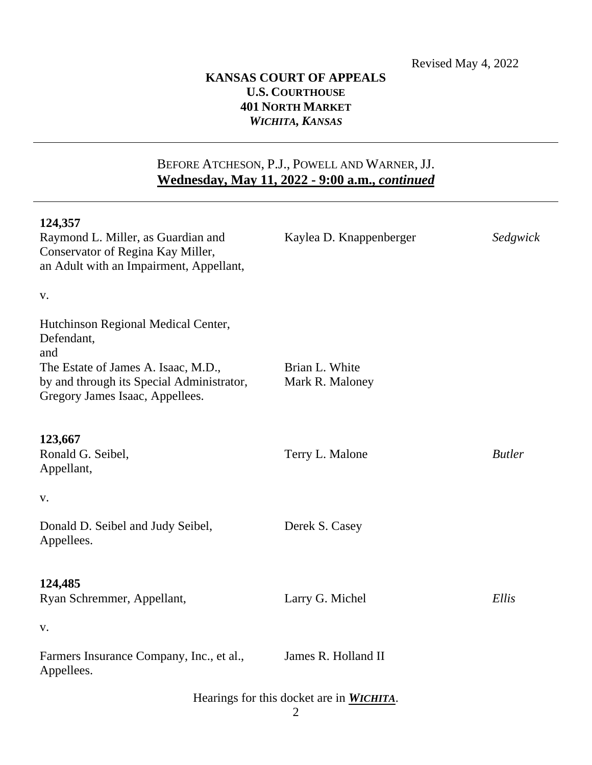## **KANSAS COURT OF APPEALS U.S. COURTHOUSE 401 NORTH MARKET** *WICHITA, KANSAS*

# BEFORE ATCHESON, P.J., POWELL AND WARNER, JJ. **Wednesday, May 11, 2022 - 9:00 a.m.,** *continued*

| 124,357                                                                      |                         |               |  |
|------------------------------------------------------------------------------|-------------------------|---------------|--|
| Raymond L. Miller, as Guardian and<br>Conservator of Regina Kay Miller,      | Kaylea D. Knappenberger | Sedgwick      |  |
| an Adult with an Impairment, Appellant,                                      |                         |               |  |
| V.                                                                           |                         |               |  |
| Hutchinson Regional Medical Center,<br>Defendant,<br>and                     |                         |               |  |
| The Estate of James A. Isaac, M.D.,                                          | Brian L. White          |               |  |
| by and through its Special Administrator,<br>Gregory James Isaac, Appellees. | Mark R. Maloney         |               |  |
| 123,667                                                                      |                         |               |  |
| Ronald G. Seibel,<br>Appellant,                                              | Terry L. Malone         | <b>Butler</b> |  |
| V.                                                                           |                         |               |  |
| Donald D. Seibel and Judy Seibel,<br>Appellees.                              | Derek S. Casey          |               |  |
| 124,485                                                                      |                         |               |  |
| Ryan Schremmer, Appellant,                                                   | Larry G. Michel         | Ellis         |  |
| V.                                                                           |                         |               |  |
| Farmers Insurance Company, Inc., et al.,<br>Appellees.                       | James R. Holland II     |               |  |
| Hearings for this docket are in <i>WICHITA</i> .                             |                         |               |  |